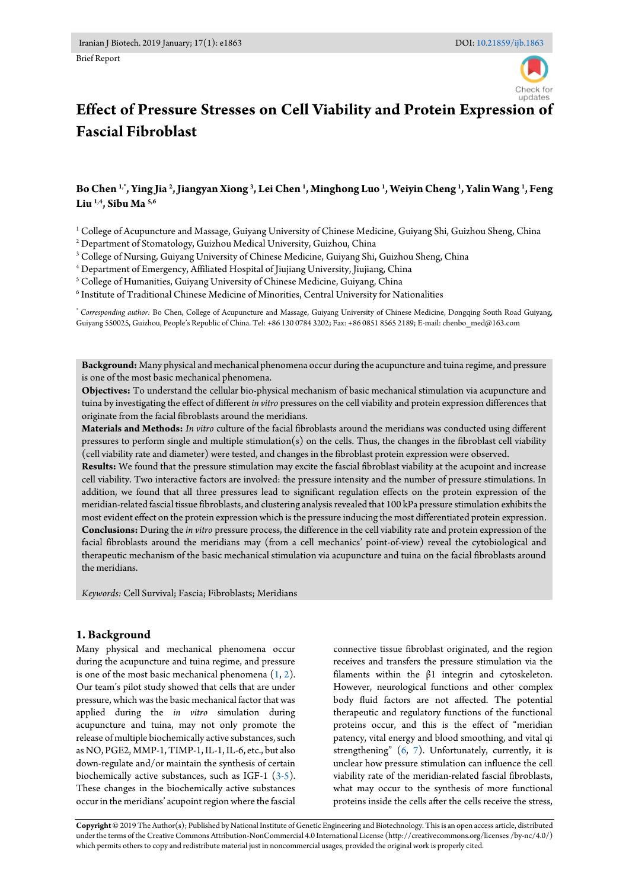

# **Effect of Pressure Stresses on Cell Viability and Protein Expression of Fascial Fibroblast**

# **Bo Chen 1,\*, Ying Jia <sup>2</sup> , Jiangyan Xiong <sup>3</sup> , Lei Chen <sup>1</sup> , Minghong Luo <sup>1</sup> , Weiyin Cheng <sup>1</sup> , Yalin Wang <sup>1</sup> , Feng Liu 1,4, Sibu Ma 5,6**

<sup>1</sup> College of Acupuncture and Massage, Guiyang University of Chinese Medicine, Guiyang Shi, Guizhou Sheng, China

2 Department of Stomatology, Guizhou Medical University, Guizhou, China

3 College of Nursing, Guiyang University of Chinese Medicine, Guiyang Shi, Guizhou Sheng, China

4 Department of Emergency, Affiliated Hospital of Jiujiang University, Jiujiang, China

5 College of Humanities, Guiyang University of Chinese Medicine, Guiyang, China

 $^6$  Institute of Traditional Chinese Medicine of Minorities, Central University for Nationalities

*\* Corresponding author:* Bo Chen, College of Acupuncture and Massage, Guiyang University of Chinese Medicine, Dongqing South Road Guiyang, Guiyang 550025, Guizhou, People's Republic of China. Tel: +86 130 0784 3202; Fax: +86 0851 8565 2189; E-mail: chenbo\_med@163.com

**Background:** Many physical and mechanical phenomena occur during the acupuncture and tuina regime, and pressure is one of the most basic mechanical phenomena.

**Objectives:** To understand the cellular bio-physical mechanism of basic mechanical stimulation via acupuncture and tuina by investigating the effect of different *in vitro* pressures on the cell viability and protein expression differences that originate from the facial fibroblasts around the meridians.

**Materials and Methods:** *In vitro* culture of the facial fibroblasts around the meridians was conducted using different pressures to perform single and multiple stimulation(s) on the cells. Thus, the changes in the fibroblast cell viability (cell viability rate and diameter) were tested, and changes in the fibroblast protein expression were observed.

**Results:** We found that the pressure stimulation may excite the fascial fibroblast viability at the acupoint and increase cell viability. Two interactive factors are involved: the pressure intensity and the number of pressure stimulations. In addition, we found that all three pressures lead to significant regulation effects on the protein expression of the meridian-related fascial tissue fibroblasts, and clustering analysis revealed that 100 kPa pressure stimulation exhibits the most evident effect on the protein expression which is the pressure inducing the most differentiated protein expression. **Conclusions:** During the *in vitro* pressure process, the difference in the cell viability rate and protein expression of the facial fibroblasts around the meridians may (from a cell mechanics' point-of-view) reveal the cytobiological and therapeutic mechanism of the basic mechanical stimulation via acupuncture and tuina on the facial fibroblasts around the meridians.

*Keywords:* Cell Survival; Fascia; Fibroblasts; Meridians

## **1. Background**

Many physical and mechanical phenomena occur during the acupuncture and tuina regime, and pressure is one of the most basic mechanical phenomena  $(1, 2)$  $(1, 2)$ . Our team's pilot study showed that cells that are under pressure, which was the basic mechanical factor that was applied during the *in vitro* simulation during acupuncture and tuina, may not only promote the release of multiple biochemically active substances, such as NO, PGE2, MMP-1, TIMP-1, IL-1, IL-6, etc., but also down-regulate and/or maintain the synthesis of certain biochemically active substances, such as IGF-1  $(3-5)$ . These changes in the biochemically active substances occur in the meridians' acupoint region where the fascial connective tissue fibroblast originated, and the region receives and transfers the pressure stimulation via the filaments within the β1 integrin and cytoskeleton. However, neurological functions and other complex body fluid factors are not affected. The potential therapeutic and regulatory functions of the functional proteins occur, and this is the effect of "meridian patency, vital energy and blood smoothing, and vital qi strengthening" [\(6,](#page-6-3) [7\)](#page-6-4). Unfortunately, currently, it is unclear how pressure stimulation can influence the cell viability rate of the meridian-related fascial fibroblasts, what may occur to the synthesis of more functional proteins inside the cells after the cells receive the stress,

**Copyright ©** 2019 The Author(s); Published by National Institute of Genetic Engineering and Biotechnology. This is an open access article, distributed under the terms of the Creative Commons Attribution-NonCommercial 4.0 International License (http://creativecommons.org/licenses /by-nc/4.0/) which permits others to copy and redistribute material just in noncommercial usages, provided the original work is properly cited.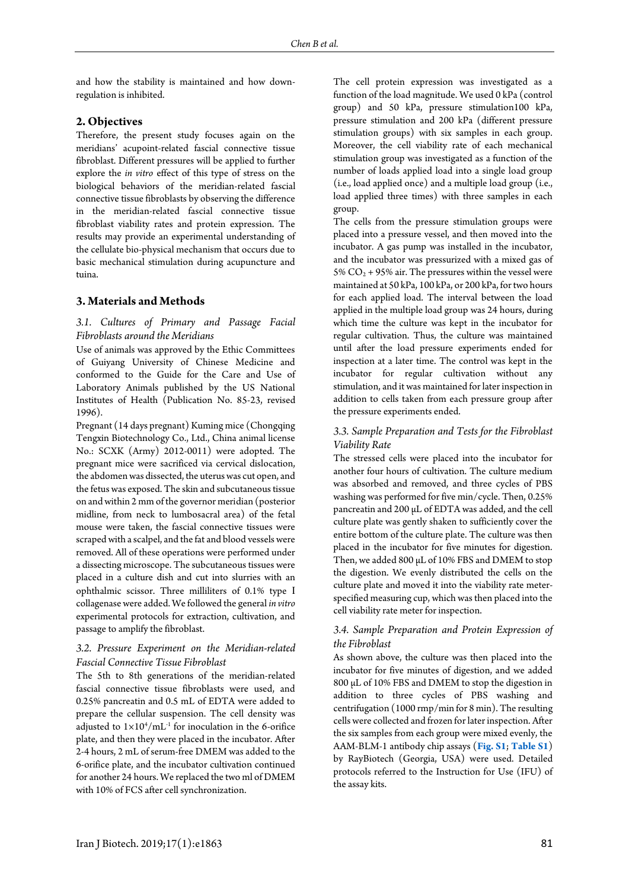and how the stability is maintained and how downregulation is inhibited.

#### **2. Objectives**

Therefore, the present study focuses again on the meridians' acupoint-related fascial connective tissue fibroblast. Different pressures will be applied to further explore the *in vitro* effect of this type of stress on the biological behaviors of the meridian-related fascial connective tissue fibroblasts by observing the difference in the meridian-related fascial connective tissue fibroblast viability rates and protein expression. The results may provide an experimental understanding of the cellulate bio-physical mechanism that occurs due to basic mechanical stimulation during acupuncture and tuina.

## **3. Materials and Methods**

## *3.1. Cultures of Primary and Passage Facial Fibroblasts around the Meridians*

Use of animals was approved by the Ethic Committees of Guiyang University of Chinese Medicine and conformed to the Guide for the Care and Use of Laboratory Animals published by the US National Institutes of Health (Publication No. 85-23, revised 1996).

Pregnant (14 days pregnant) Kuming mice (Chongqing Tengxin Biotechnology Co., Ltd., China animal license No.: SCXK (Army) 2012-0011) were adopted. The pregnant mice were sacrificed via cervical dislocation, the abdomen was dissected, the uterus was cut open, and the fetus was exposed. The skin and subcutaneous tissue on and within 2 mm of the governor meridian (posterior midline, from neck to lumbosacral area) of the fetal mouse were taken, the fascial connective tissues were scraped with a scalpel, and the fat and blood vessels were removed. All of these operations were performed under a dissecting microscope. The subcutaneous tissues were placed in a culture dish and cut into slurries with an ophthalmic scissor. Three milliliters of 0.1% type Ⅰ collagenase were added. We followed the general *in vitro* experimental protocols for extraction, cultivation, and passage to amplify the fibroblast.

## *3.2. Pressure Experiment on the Meridian-related Fascial Connective Tissue Fibroblast*

The 5th to 8th generations of the meridian-related fascial connective tissue fibroblasts were used, and 0.25% pancreatin and 0.5 mL of EDTA were added to prepare the cellular suspension. The cell density was adjusted to  $1 \times 10^4/\text{mL}^{-1}$  for inoculation in the 6-orifice plate, and then they were placed in the incubator. After 2-4 hours, 2 mL of serum-free DMEM was added to the 6-orifice plate, and the incubator cultivation continued for another 24 hours. We replaced the two ml of DMEM with 10% of FCS after cell synchronization.

The cell protein expression was investigated as a function of the load magnitude. We used 0 kPa (control group) and 50 kPa, pressure stimulation100 kPa, pressure stimulation and 200 kPa (different pressure stimulation groups) with six samples in each group. Moreover, the cell viability rate of each mechanical stimulation group was investigated as a function of the number of loads applied load into a single load group (i.e., load applied once) and a multiple load group (i.e., load applied three times) with three samples in each group.

The cells from the pressure stimulation groups were placed into a pressure vessel, and then moved into the incubator. A gas pump was installed in the incubator, and the incubator was pressurized with a mixed gas of 5%  $CO<sub>2</sub> + 95%$  air. The pressures within the vessel were maintained at 50 kPa, 100 kPa, or 200 kPa, for two hours for each applied load. The interval between the load applied in the multiple load group was 24 hours, during which time the culture was kept in the incubator for regular cultivation. Thus, the culture was maintained until after the load pressure experiments ended for inspection at a later time. The control was kept in the incubator for regular cultivation without any stimulation, and it was maintained for later inspection in addition to cells taken from each pressure group after the pressure experiments ended.

## *3.3. Sample Preparation and Tests for the Fibroblast Viability Rate*

The stressed cells were placed into the incubator for another four hours of cultivation. The culture medium was absorbed and removed, and three cycles of PBS washing was performed for five min/cycle. Then, 0.25% pancreatin and 200 μL of EDTA was added, and the cell culture plate was gently shaken to sufficiently cover the entire bottom of the culture plate. The culture was then placed in the incubator for five minutes for digestion. Then, we added 800 μL of 10% FBS and DMEM to stop the digestion. We evenly distributed the cells on the culture plate and moved it into the viability rate meterspecified measuring cup, which was then placed into the cell viability rate meter for inspection.

## *3.4. Sample Preparation and Protein Expression of the Fibroblast*

As shown above, the culture was then placed into the incubator for five minutes of digestion, and we added 800 μL of 10% FBS and DMEM to stop the digestion in addition to three cycles of PBS washing and centrifugation (1000 rmp/min for 8 min). The resulting cells were collected and frozen for later inspection. After the six samples from each group were mixed evenly, the AAM-BLM-1 antibody chip assays (**[Fig.](#page-6-5) S1**; **[Table S1](#page-6-6)**) by RayBiotech (Georgia, USA) were used. Detailed protocols referred to the Instruction for Use (IFU) of the assay kits.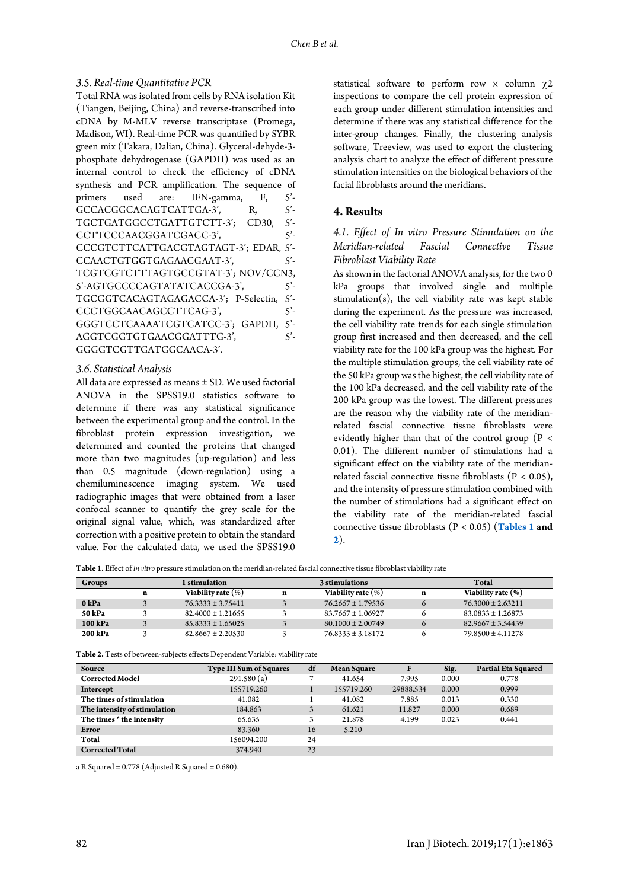#### *3.5. Real-time Quantitative PCR*

| Total RNA was isolated from cells by RNA isolation Kit |              |
|--------------------------------------------------------|--------------|
| (Tiangen, Beijing, China) and reverse-transcribed into |              |
| cDNA by M-MLV reverse transcriptase (Promega,          |              |
| Madison, WI). Real-time PCR was quantified by SYBR     |              |
| green mix (Takara, Dalian, China). Glyceral-dehyde-3-  |              |
| phosphate dehydrogenase (GAPDH) was used as an         |              |
| internal control to check the efficiency of cDNA       |              |
| synthesis and PCR amplification. The sequence of       |              |
| primers used are: IFN-gamma, F,                        | $5^{\prime}$ |
| GCCACGGCACAGTCATTGA-3',<br>R,                          | $5^{\prime}$ |
| TGCTGATGGCCTGATTGTCTT-3'; CD30, 5'-                    |              |
| CCTTCCCAACGGATCGACC-3',                                | $5^{\prime}$ |
| CCCGTCTTCATTGACGTAGTAGT-3'; EDAR, 5'-                  |              |
| CCAACTGTGGTGAGAACGAAT-3',                              | $5^{\prime}$ |
| TCGTCGTCTTTAGTGCCGTAT-3'; NOV/CCN3,                    |              |
| 5'-AGTGCCCCAGTATATCACCGA-3',                           | $5^{\prime}$ |
| TGCGGTCACAGTAGAGACCA-3'; P-Selectin,                   | $5^{\prime}$ |
| CCCTGGCAACAGCCTTCAG-3',                                | $5^{\prime}$ |
| GGGTCCTCAAAATCGTCATCC-3'; GAPDH, 5'-                   |              |
| AGGTCGGTGTGAACGGATTTG-3',                              | $5^{\prime}$ |
| GGGGTCGTTGATGGCAACA-3'.                                |              |
|                                                        |              |

#### *3.6. Statistical Analysis*

All data are expressed as means ± SD. We used factorial ANOVA in the SPSS19.0 statistics software to determine if there was any statistical significance between the experimental group and the control. In the fibroblast protein expression investigation, we determined and counted the proteins that changed more than two magnitudes (up-regulation) and less than 0.5 magnitude (down-regulation) using a chemiluminescence imaging system. We used radiographic images that were obtained from a laser confocal scanner to quantify the grey scale for the original signal value, which, was standardized after correction with a positive protein to obtain the standard value. For the calculated data, we used the SPSS19.0

statistical software to perform row  $\times$  column  $\gamma$ 2 inspections to compare the cell protein expression of each group under different stimulation intensities and determine if there was any statistical difference for the inter-group changes. Finally, the clustering analysis software, Treeview, was used to export the clustering analysis chart to analyze the effect of different pressure stimulation intensities on the biological behaviors of the facial fibroblasts around the meridians.

## **4. Results**

# *4.1. Effect of In vitro Pressure Stimulation on the Meridian-related Fascial Connective Tissue Fibroblast Viability Rate*

As shown in the factorial ANOVA analysis, for the two 0 kPa groups that involved single and multiple stimulation(s), the cell viability rate was kept stable during the experiment. As the pressure was increased, the cell viability rate trends for each single stimulation group first increased and then decreased, and the cell viability rate for the 100 kPa group was the highest. For the multiple stimulation groups, the cell viability rate of the 50 kPa group was the highest, the cell viability rate of the 100 kPa decreased, and the cell viability rate of the 200 kPa group was the lowest. The different pressures are the reason why the viability rate of the meridianrelated fascial connective tissue fibroblasts were evidently higher than that of the control group ( $P <$ 0.01). The different number of stimulations had a significant effect on the viability rate of the meridianrelated fascial connective tissue fibroblasts ( $P < 0.05$ ), and the intensity of pressure stimulation combined with the number of stimulations had a significant effect on the viability rate of the meridian-related fascial connective tissue fibroblasts (P < 0.05) (**[Tables 1](#page-2-0) and [2](#page-2-1)**).

<span id="page-2-0"></span>**Table 1.** Effect of *in vitro* pressure stimulation on the meridian-related fascial connective tissue fibroblast viability rate

| Groups  |   | stimulation           | 3 stimulations |                       | Total |                       |
|---------|---|-----------------------|----------------|-----------------------|-------|-----------------------|
|         | n | Viability rate (%)    | n              | Viability rate (%)    | n     | Viability rate (%)    |
| 0 kPa   |   | $76.3333 \pm 3.75411$ |                | $76.2667 \pm 1.79536$ |       | $76.3000 \pm 2.63211$ |
| 50 kPa  |   | $82.4000 \pm 1.21655$ |                | $83.7667 \pm 1.06927$ |       | $83.0833 \pm 1.26873$ |
| 100 kPa |   | $85.8333 \pm 1.65025$ |                | $80.1000 \pm 2.00749$ |       | $82.9667 \pm 3.54439$ |
| 200 kPa |   | $82.8667 \pm 2.20530$ |                | $76.8333 \pm 3.18172$ |       | $79.8500 \pm 4.11278$ |

<span id="page-2-1"></span>**Table 2.** Tests of between-subjects effects Dependent Variable: viability rate

| Source                       | <b>Type III Sum of Squares</b> | df | <b>Mean Square</b> | F         | Sig.  | <b>Partial Eta Squared</b> |
|------------------------------|--------------------------------|----|--------------------|-----------|-------|----------------------------|
| <b>Corrected Model</b>       | 291.580(a)                     |    | 41.654             | 7.995     | 0.000 | 0.778                      |
| Intercept                    | 155719.260                     |    | 155719.260         | 29888.534 | 0.000 | 0.999                      |
| The times of stimulation     | 41.082                         |    | 41.082             | 7.885     | 0.013 | 0.330                      |
| The intensity of stimulation | 184.863                        |    | 61.621             | 11.827    | 0.000 | 0.689                      |
| The times * the intensity    | 65.635                         |    | 21.878             | 4.199     | 0.023 | 0.441                      |
| Error                        | 83.360                         | 16 | 5.210              |           |       |                            |
| Total                        | 156094.200                     | 24 |                    |           |       |                            |
| <b>Corrected Total</b>       | 374.940                        | 23 |                    |           |       |                            |

a R Squared = 0.778 (Adjusted R Squared = 0.680).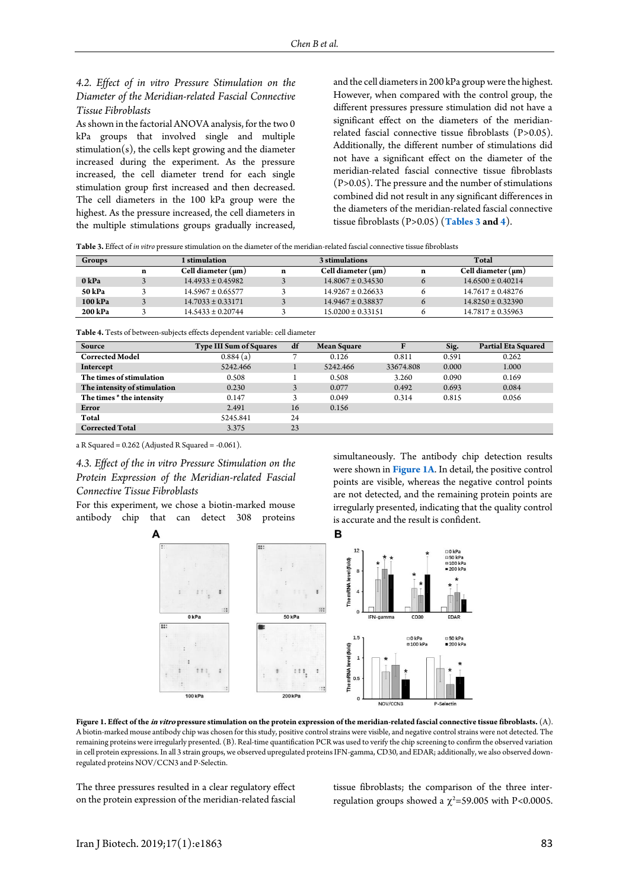*4.2. Effect of in vitro Pressure Stimulation on the Diameter of the Meridian-related Fascial Connective Tissue Fibroblasts*

As shown in the factorial ANOVA analysis, for the two 0 kPa groups that involved single and multiple  $stimulation(s)$ , the cells kept growing and the diameter increased during the experiment. As the pressure increased, the cell diameter trend for each single stimulation group first increased and then decreased. The cell diameters in the 100 kPa group were the highest. As the pressure increased, the cell diameters in the multiple stimulations groups gradually increased, and the cell diameters in 200 kPa group were the highest. However, when compared with the control group, the different pressures pressure stimulation did not have a significant effect on the diameters of the meridianrelated fascial connective tissue fibroblasts (P>0.05). Additionally, the different number of stimulations did not have a significant effect on the diameter of the meridian-related fascial connective tissue fibroblasts (P>0.05). The pressure and the number of stimulations combined did not result in any significant differences in the diameters of the meridian-related fascial connective tissue fibroblasts (P>0.05) (**[Tables 3](#page-3-0) and [4](#page-3-1)**).

<span id="page-3-0"></span>

| Table 3. Effect of <i>in vitro</i> pressure stimulation on the diameter of the meridian-related fascial connective tissue fibroblasts |
|---------------------------------------------------------------------------------------------------------------------------------------|
|---------------------------------------------------------------------------------------------------------------------------------------|

| Groups  |   | l stimulation           |   | 3 stimulations          |   | Total                   |
|---------|---|-------------------------|---|-------------------------|---|-------------------------|
|         | n | Cell diameter $(\mu m)$ | n | Cell diameter $(\mu m)$ | n | Cell diameter $(\mu m)$ |
| 0 kPa   |   | $14.4933 \pm 0.45982$   |   | $14.8067 \pm 0.34530$   | Ω | $14.6500 \pm 0.40214$   |
| 50 kPa  |   | $14.5967 \pm 0.65577$   |   | $14.9267 \pm 0.26633$   |   | $14.7617 \pm 0.48276$   |
| 100 kPa |   | $14.7033 \pm 0.33171$   |   | $14.9467 \pm 0.38837$   |   | $14.8250 \pm 0.32390$   |
| 200 kPa |   | $14.5433 \pm 0.20744$   |   | $15.0200 \pm 0.33151$   |   | $14.7817 \pm 0.35963$   |

<span id="page-3-1"></span>**Table 4.** Tests of between-subjects effects dependent variable: cell diameter

| Source                       | <b>Type III Sum of Squares</b> | df | <b>Mean Square</b> |           | Sig.  | <b>Partial Eta Squared</b> |
|------------------------------|--------------------------------|----|--------------------|-----------|-------|----------------------------|
| <b>Corrected Model</b>       | 0.884(a)                       |    | 0.126              | 0.811     | 0.591 | 0.262                      |
| Intercept                    | 5242.466                       |    | 5242.466           | 33674.808 | 0.000 | 1.000                      |
| The times of stimulation     | 0.508                          |    | 0.508              | 3.260     | 0.090 | 0.169                      |
| The intensity of stimulation | 0.230                          | 3  | 0.077              | 0.492     | 0.693 | 0.084                      |
| The times * the intensity    | 0.147                          | 3  | 0.049              | 0.314     | 0.815 | 0.056                      |
| Error                        | 2.491                          | 16 | 0.156              |           |       |                            |
| Total                        | 5245.841                       | 24 |                    |           |       |                            |
| <b>Corrected Total</b>       | 3.375                          | 23 |                    |           |       |                            |

a R Squared =  $0.262$  (Adjusted R Squared =  $-0.061$ ).

*4.3. Effect of the in vitro Pressure Stimulation on the Protein Expression of the Meridian-related Fascial Connective Tissue Fibroblasts*

<span id="page-3-2"></span>For this experiment, we chose a biotin-marked mouse antibody chip that can detect 308 proteins

simultaneously. The antibody chip detection results were shown in **[Figure 1A](#page-3-2)**. In detail, the positive control points are visible, whereas the negative control points are not detected, and the remaining protein points are irregularly presented, indicating that the quality control is accurate and the result is confident.



**Figure 1. Effect of the in vitro pressure stimulation on the protein expression of the meridian-related fascial connective tissue fibroblasts.** (A). A biotin-marked mouse antibody chip was chosen for this study, positive control strains were visible, and negative control strains were not detected. The remaining proteins were irregularly presented. (B). Real-time quantification PCR was used to verify the chip screening to confirm the observed variation in cell protein expressions. In all 3 strain groups, we observed upregulated proteins IFN-gamma, CD30, and EDAR; additionally, we also observed downregulated proteins NOV/CCN3 and P-Selectin.

The three pressures resulted in a clear regulatory effect on the protein expression of the meridian-related fascial tissue fibroblasts; the comparison of the three interregulation groups showed a  $\chi^2$ =59.005 with P<0.0005.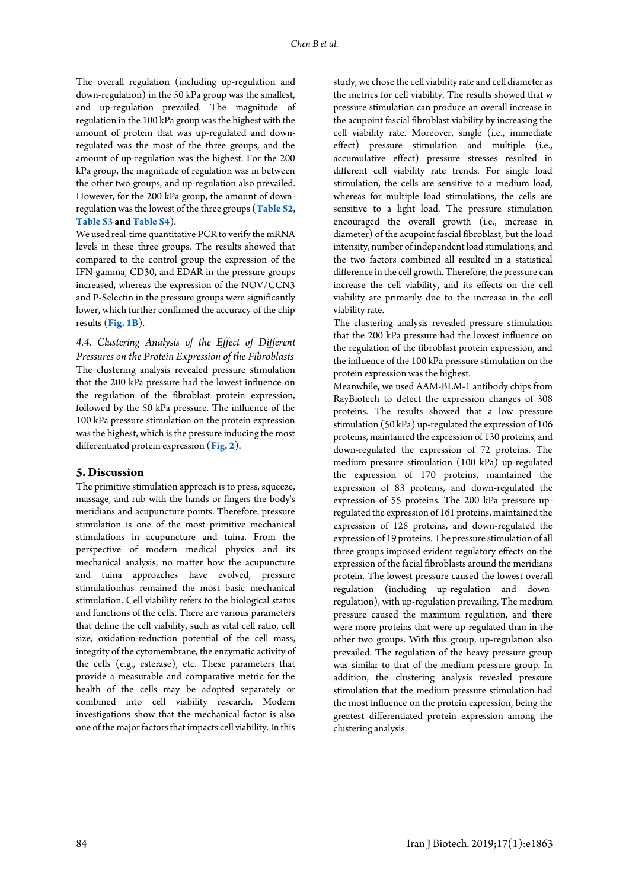The overall regulation (including up-regulation and down-regulation) in the 50 kPa group was the smallest, and up-regulation prevailed. The magnitude of regulation in the 100 kPa group was the highest with the amount of protein that was up-regulated and downregulated was the most of the three groups, and the amount of up-regulation was the highest. For the 200 kPa group, the magnitude of regulation was in between the other two groups, and up-regulation also prevailed. However, for the 200 kPa group, the amount of downregulation was the lowest of the three groups (**[Table S2](#page-8-0)**, **[Table](#page-8-1) S3 an[d Table S4](#page-9-0)**).

We used real-time quantitative PCR to verify the mRNA levels in these three groups. The results showed that compared to the control group the expression of the IFN-gamma, CD30, and EDAR in the pressure groups increased, whereas the expression of the NOV/CCN3 and P-Selectin in the pressure groups were significantly lower, which further confirmed the accuracy of the chip results (**[Fig.](#page-3-2) 1B**).

*4.4. Clustering Analysis of the Effect of Different Pressures on the Protein Expression of the Fibroblasts*  The clustering analysis revealed pressure stimulation that the 200 kPa pressure had the lowest influence on the regulation of the fibroblast protein expression, followed by the 50 kPa pressure. The influence of the 100 kPa pressure stimulation on the protein expression was the highest, which is the pressure inducing the most differentiated protein expression (**[Fig.](#page-4-0) 2**).

#### **5. Discussion**

<span id="page-4-0"></span>The primitive stimulation approach is to press, squeeze, massage, and rub with the hands or fingers the body's meridians and acupuncture points. Therefore, pressure stimulation is one of the most primitive mechanical stimulations in acupuncture and tuina. From the perspective of modern medical physics and its mechanical analysis, no matter how the acupuncture and tuina approaches have evolved, pressure stimulationhas remained the most basic mechanical stimulation. Cell viability refers to the biological status and functions of the cells. There are various parameters that define the cell viability, such as vital cell ratio, cell size, oxidation-reduction potential of the cell mass, integrity of the cytomembrane, the enzymatic activity of the cells (e.g., esterase), etc. These parameters that provide a measurable and comparative metric for the health of the cells may be adopted separately or combined into cell viability research. Modern investigations show that the mechanical factor is also one of the major factors that impacts cell viability. In this study, we chose the cell viability rate and cell diameter as the metrics for cell viability. The results showed that w pressure stimulation can produce an overall increase in the acupoint fascial fibroblast viability by increasing the cell viability rate. Moreover, single (i.e., immediate effect) pressure stimulation and multiple (i.e., accumulative effect) pressure stresses resulted in different cell viability rate trends. For single load stimulation, the cells are sensitive to a medium load, whereas for multiple load stimulations, the cells are sensitive to a light load. The pressure stimulation encouraged the overall growth (i.e., increase in diameter) of the acupoint fascial fibroblast, but the load intensity, number of independent load stimulations, and the two factors combined all resulted in a statistical difference in the cell growth. Therefore, the pressure can increase the cell viability, and its effects on the cell viability are primarily due to the increase in the cell viability rate.

The clustering analysis revealed pressure stimulation that the 200 kPa pressure had the lowest influence on the regulation of the fibroblast protein expression, and the influence of the 100 kPa pressure stimulation on the protein expression was the highest.

Meanwhile, we used AAM-BLM-1 antibody chips from RayBiotech to detect the expression changes of 308 proteins. The results showed that a low pressure stimulation (50 kPa) up-regulated the expression of 106 proteins, maintained the expression of 130 proteins, and down-regulated the expression of 72 proteins. The medium pressure stimulation (100 kPa) up-regulated the expression of 170 proteins, maintained the expression of 83 proteins, and down-regulated the expression of 55 proteins. The 200 kPa pressure upregulated the expression of 161 proteins, maintained the expression of 128 proteins, and down-regulated the expression of 19 proteins. The pressure stimulation of all three groups imposed evident regulatory effects on the expression of the facial fibroblasts around the meridians protein. The lowest pressure caused the lowest overall regulation (including up-regulation and downregulation), with up-regulation prevailing. The medium pressure caused the maximum regulation, and there were more proteins that were up-regulated than in the other two groups. With this group, up-regulation also prevailed. The regulation of the heavy pressure group was similar to that of the medium pressure group. In addition, the clustering analysis revealed pressure stimulation that the medium pressure stimulation had the most influence on the protein expression, being the greatest differentiated protein expression among the clustering analysis.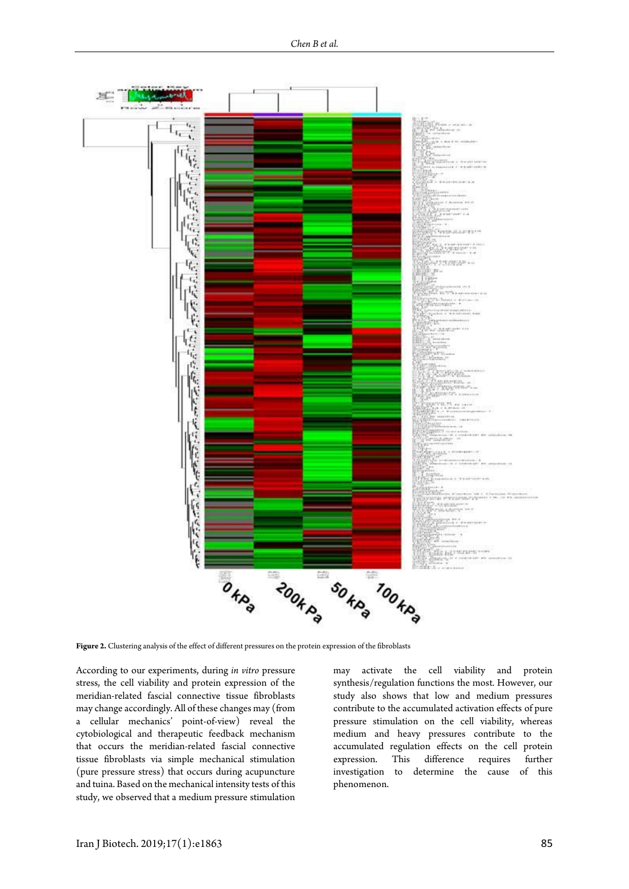

**Figure 2.** Clustering analysis of the effect of different pressures on the protein expression of the fibroblasts

According to our experiments, during *in vitro* pressure stress, the cell viability and protein expression of the meridian-related fascial connective tissue fibroblasts may change accordingly. All of these changes may (from a cellular mechanics' point-of-view) reveal the cytobiological and therapeutic feedback mechanism that occurs the meridian-related fascial connective tissue fibroblasts via simple mechanical stimulation (pure pressure stress) that occurs during acupuncture and tuina. Based on the mechanical intensity tests of this study, we observed that a medium pressure stimulation

may activate the cell viability and protein synthesis/regulation functions the most. However, our study also shows that low and medium pressures contribute to the accumulated activation effects of pure pressure stimulation on the cell viability, whereas medium and heavy pressures contribute to the accumulated regulation effects on the cell protein expression. This difference requires further investigation to determine the cause of this phenomenon.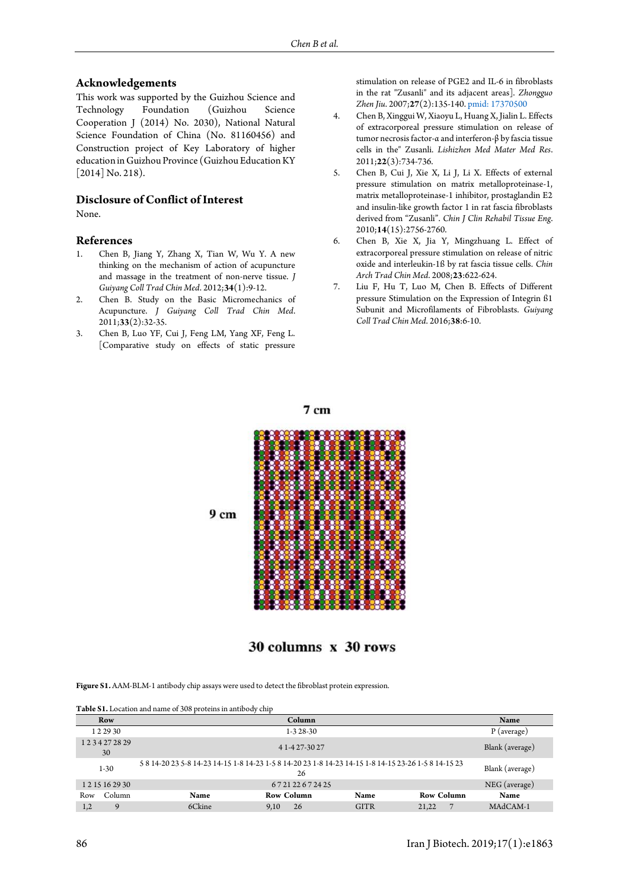#### **Acknowledgements**

This work was supported by the Guizhou Science and Technology Foundation (Guizhou Science Cooperation J (2014) No. 2030), National Natural Science Foundation of China (No. 81160456) and Construction project of Key Laboratory of higher education in Guizhou Province (Guizhou Education KY [2014] No. 218).

## **Disclosure of Conflict of Interest**

None.

#### **References**

- <span id="page-6-0"></span>1. Chen B, Jiang Y, Zhang X, Tian W, Wu Y. A new thinking on the mechanism of action of acupuncture and massage in the treatment of non-nerve tissue. *J Guiyang Coll Trad Chin Med*. 2012;**34**(1):9-12.
- <span id="page-6-1"></span>2. Chen B. Study on the Basic Micromechanics of Acupuncture. *J Guiyang Coll Trad Chin Med*. 2011;**33**(2):32-35.
- <span id="page-6-2"></span>3. Chen B, Luo YF, Cui J, Feng LM, Yang XF, Feng L. [Comparative study on effects of static pressure

stimulation on release of PGE2 and IL-6 in fibroblasts in the rat "Zusanli" and its adjacent areas]. *Zhongguo Zhen Jiu*. 2007;**27**(2):135-140[. pmid: 17370500](www.ncbi.nlm.nih.gov/pubmed/17370500)

- 4. Chen B, Xinggui W, Xiaoyu L, Huang X, Jialin L. Effects of extracorporeal pressure stimulation on release of tumor necrosis factor-α and interferon-β by fascia tissue cells in the" Zusanli. *Lishizhen Med Mater Med Res*. 2011;**22**(3):734-736.
- 5. Chen B, Cui J, Xie X, Li J, Li X. Effects of external pressure stimulation on matrix metalloproteinase-1, matrix metalloproteinase-1 inhibitor, prostaglandin E2 and insulin-like growth factor 1 in rat fascia fibroblasts derived from "Zusanli". *Chin J Clin Rehabil Tissue Eng*. 2010;**14**(15):2756-2760.
- <span id="page-6-3"></span>6. Chen B, Xie X, Jia Y, Mingzhuang L. Effect of extracorporeal pressure stimulation on release of nitric oxide and interleukin-1ß by rat fascia tissue cells. *Chin Arch Trad Chin Med*. 2008;**23**:622-624.
- <span id="page-6-4"></span>7. Liu F, Hu T, Luo M, Chen B. Effects of Different pressure Stimulation on the Expression of Integrin ß1 Subunit and Microfilaments of Fibroblasts. *Guiyang Coll Trad Chin Med*. 2016;**38**:6-10.

 $9<sub>cm</sub>$ 

<span id="page-6-5"></span> $7<sub>cm</sub>$ 

30 columns x 30 rows

**Figure S1.** AAM-BLM-1 antibody chip assays were used to detect the fibroblast protein expression.

<span id="page-6-6"></span>

| Table S1. Location and name of 308 proteins in antibody chip |  |  |
|--------------------------------------------------------------|--|--|
|--------------------------------------------------------------|--|--|

|     | Row              |                                                                                                      | Name            |             |                       |            |
|-----|------------------|------------------------------------------------------------------------------------------------------|-----------------|-------------|-----------------------|------------|
|     | 1 2 2 9 3 0      |                                                                                                      | P (average)     |             |                       |            |
|     | 1234272829<br>30 |                                                                                                      | Blank (average) |             |                       |            |
|     | $1 - 30$         | 5 8 14-20 23 5-8 14-23 14-15 1-8 14-23 1-5 8 14-20 23 1-8 14-23 14-15 1-8 14-15 23-26 1-5 8 14-15 23 | Blank (average) |             |                       |            |
|     | 1 2 15 16 29 30  |                                                                                                      | NEG (average)   |             |                       |            |
| Row | Column           | Name                                                                                                 | Row Column      | Name        | Row Column            | Name       |
| 1,2 | $\mathbf Q$      | 6Ckine                                                                                               | 26<br>9,10      | <b>GITR</b> | $\mathbf{7}$<br>21.22 | $MAdCAM-1$ |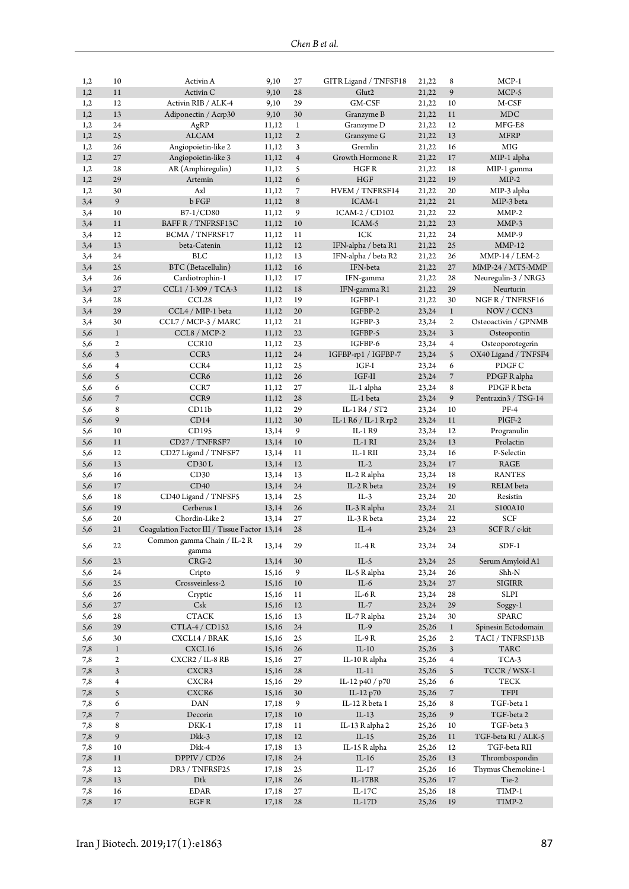| 1,2      | 10                       | Activin A                                    | 9,10  | 27               | GITR Ligand / TNFSF18 | 21,22 | 8              | $MCP-1$               |
|----------|--------------------------|----------------------------------------------|-------|------------------|-----------------------|-------|----------------|-----------------------|
| 1,2      | 11                       | Activin <sub>C</sub>                         | 9,10  | 28               | Glut2                 | 21,22 | 9              | MCP-5                 |
| 1,2      | 12                       | Activin RIB / ALK-4                          | 9,10  | 29               | GM-CSF                | 21,22 | 10             | M-CSF                 |
| 1,2      | 13                       | Adiponectin / Acrp30                         | 9,10  | 30               | Granzyme B            | 21,22 | 11             | MDC                   |
| 1,2      | 24                       | AgRP                                         | 11,12 | $\mathbf{1}$     | Granzyme D            | 21,22 | 12             | MFG-E8                |
| 1,2      | 25                       | <b>ALCAM</b>                                 | 11,12 | $\overline{2}$   | Granzyme G            | 21,22 | 13             | <b>MFRP</b>           |
| 1,2      | 26                       | Angiopoietin-like 2                          | 11,12 | 3                | Gremlin               | 21,22 | 16             | <b>MIG</b>            |
| 1,2      | 27                       | Angiopoietin-like 3                          | 11,12 | $\overline{4}$   | Growth Hormone R      | 21,22 | 17             | MIP-1 alpha           |
| 1,2      | 28                       | AR (Amphiregulin)                            | 11,12 | 5                | HGF R                 | 21,22 | 18             | MIP-1 gamma           |
| 1,2      | 29                       | Artemin                                      | 11,12 | $\boldsymbol{6}$ | <b>HGF</b>            | 21,22 | 19             | $MIP-2$               |
| 1,2      | 30                       | Axl                                          | 11,12 | 7                | HVEM / TNFRSF14       | 21,22 | 20             | MIP-3 alpha           |
| 3,4      | 9                        | b FGF                                        | 11,12 | $\,$ 8 $\,$      | ICAM-1                | 21,22 | 21             | MIP-3 beta            |
| 3,4      | 10                       | $B7-1/CD80$                                  | 11,12 | 9                | ICAM-2 / CD102        | 21,22 | 22             | $MMP-2$               |
| 3,4      | 11                       | BAFF R / TNFRSF13C                           | 11,12 | $10$             | ICAM-5                | 21,22 | 23             | $MMP-3$               |
| 3,4      | 12                       | <b>BCMA / TNFRSF17</b>                       | 11,12 | 11               | ICK                   | 21,22 | 24             | MMP-9                 |
| 3,4      | 13                       | beta-Catenin                                 | 11,12 | 12               | IFN-alpha / beta R1   | 21,22 | 25             | $MMP-12$              |
| 3,4      | 24                       | <b>BLC</b>                                   | 11,12 | 13               | IFN-alpha / beta R2   | 21,22 | 26             | $MMP-14 / LEM-2$      |
| 3,4      | 25                       | BTC (Betacellulin)                           | 11,12 | 16               | IFN-beta              | 21,22 | 27             | MMP-24 / MT5-MMP      |
| 3,4      | 26                       | Cardiotrophin-1                              | 11,12 | 17               | IFN-gamma             | 21,22 | 28             | Neuregulin-3 / NRG3   |
| 3,4      | 27                       | CCL1 / I-309 / TCA-3                         | 11,12 | 18               | IFN-gamma R1          | 21,22 | 29             | Neurturin             |
| 3,4      | 28                       | CCL <sub>28</sub>                            | 11,12 | 19               | IGFBP-1               | 21,22 | 30             | NGFR/TNFRSF16         |
| 3,4      | 29                       | CCL4 / MIP-1 beta                            | 11,12 | 20               | IGFBP-2               | 23,24 | $\mathbf{1}$   | NOV / CCN3            |
| 3,4      | 30                       | CCL7 / MCP-3 / MARC                          | 11,12 | 21               | IGFBP-3               | 23,24 | $\overline{2}$ | Osteoactivin / GPNMB  |
| 5,6      | $\,1$                    | CCL8 / MCP-2                                 | 11,12 | 22               | IGFBP-5               | 23,24 | $\mathfrak{Z}$ | Osteopontin           |
| 5,6      | $\mathfrak{2}$           | CCR10                                        | 11,12 | 23               | IGFBP-6               | 23,24 | $\overline{4}$ | Osteoporotegerin      |
| 5,6      | 3                        | CCR3                                         | 11,12 | 24               | IGFBP-rp1 / IGFBP-7   | 23,24 | 5              | OX40 Ligand / TNFSF4  |
| 5,6      | $\overline{4}$           | CCR4                                         | 11,12 | 25               | $IGF-I$               | 23,24 | 6              | PDGF C                |
| 5,6      | 5                        | CCR6                                         | 11,12 | 26               | $IGF-II$              | 23,24 | $\sqrt{ }$     | PDGF R alpha          |
| 5,6      | 6                        | CCR7                                         | 11,12 | 27               | IL-1 alpha            | 23,24 | 8              | PDGF R beta           |
| 5,6      | $\overline{\phantom{a}}$ | CCR9                                         | 11,12 | 28               | IL-1 beta             | 23,24 | 9              | Pentraxin3 / TSG-14   |
| 5,6      | 8                        | CD11b                                        | 11,12 | 29               | IL-1 R4 / ST2         | 23,24 | 10             | $PF-4$                |
| 5,6      | 9                        | CD14                                         | 11,12 | 30               | IL-1 R6 / IL-1 R rp2  | 23,24 | 11             | $PIGF-2$              |
| 5,6      | 10                       | CD195                                        | 13,14 | 9                | IL-1 R9               | 23,24 | 12             | Progranulin           |
| 5,6      | 11                       | CD27 / TNFRSF7                               | 13,14 | $10\,$           | IL-1 RI               | 23,24 | 13             | Prolactin             |
| 5,6      | 12                       | CD27 Ligand / TNFSF7                         | 13,14 | 11               | IL-1 RII              | 23,24 | 16             | P-Selectin            |
| 5,6      | 13                       | CD30L                                        | 13,14 | 12               | $IL-2$                | 23,24 | 17             | RAGE                  |
| 5,6      | 16                       | CD30                                         | 13,14 | 13               | IL-2 R alpha          | 23,24 | 18             | <b>RANTES</b>         |
| 5,6      | 17                       | CD40                                         | 13,14 | 24               | IL-2 R beta           | 23,24 | 19             | RELM beta             |
| 5,6      | 18                       | CD40 Ligand / TNFSF5                         | 13,14 | 25               | $IL-3$                | 23,24 | 20             | Resistin              |
| 5,6      | 19                       | Cerberus 1                                   | 13,14 | 26               | IL-3 R alpha          | 23,24 | 21             | S100A10               |
| 5,6      | 20                       | Chordin-Like 2                               | 13,14 | 27               | IL-3 R beta           | 23,24 | 22             | SCF                   |
| 5,6      | 21                       | Coagulation Factor III / Tissue Factor 13,14 |       | 28               | $IL-4$                | 23,24 | 23             | SCF R / c-kit         |
|          |                          | Common gamma Chain / IL-2 R                  |       |                  |                       |       |                |                       |
| 5,6      | 22                       | gamma                                        | 13,14 | 29               | IL-4 $R$              | 23,24 | 24             | $SDF-1$               |
| 5,6      | 23                       | $CRG-2$                                      | 13,14 | 30               | IL-5                  | 23,24 | 25             | Serum Amyloid A1      |
| 5,6      | 24                       | Cripto                                       | 15,16 | 9                | IL-5 R alpha          | 23,24 | 26             | Shh-N                 |
| 5,6      | $25\,$                   | Crossveinless-2                              | 15,16 | $10\,$           | $IL-6$                | 23,24 | 27             | <b>SIGIRR</b>         |
| 5,6      | 26                       | Cryptic                                      | 15,16 | 11               | IL- $6R$              | 23,24 | 28             | SLPI                  |
| 5,6      | $27\,$                   | Csk                                          | 15,16 | 12               | IL-7                  | 23,24 | 29             | Soggy-1               |
| 5,6      | 28                       | ${\rm CTACK}$                                | 15,16 | 13               | IL-7 R alpha          | 23,24 | 30             | <b>SPARC</b>          |
| 5,6      | 29                       | CTLA-4 / CD152                               | 15,16 | 24               | $IL-9$                | 25,26 | $\mathbf{1}$   | Spinesin Ectodomain   |
|          | 30                       | CXCL14 / BRAK                                |       | 25               | IL-9 R                |       | $\overline{2}$ | TACI / TNFRSF13B      |
| 5,6      | $\,1$                    | CXCL16                                       | 15,16 | 26               | $IL-10$               | 25,26 | $\mathfrak{Z}$ | <b>TARC</b>           |
| $_{7,8}$ |                          |                                              | 15,16 |                  |                       | 25,26 |                |                       |
| 7,8      | $\boldsymbol{2}$         | CXCR2 / IL-8 RB                              | 15,16 | $27\,$           | IL-10 R alpha         | 25,26 | $\overline{4}$ | TCA-3<br>TCCR / WSX-1 |
| 7,8      | $\mathfrak{Z}$           | CXCR3                                        | 15,16 | 28               | $IL-11$               | 25,26 | $\mathfrak{S}$ |                       |
| 7,8      | $\overline{4}$           | CXCR4                                        | 15,16 | 29               | IL-12 p40 / p70       | 25,26 | 6              | TECK                  |
| 7,8      | 5                        | CXCR6                                        | 15,16 | 30               | IL-12 p70             | 25,26 | $\overline{7}$ | TFPI                  |
| 7,8      | 6                        | DAN                                          | 17,18 | 9                | IL-12 R beta 1        | 25,26 | 8              | TGF-beta 1            |
| 7,8      | $\overline{\phantom{a}}$ | Decorin                                      | 17,18 | $10\,$           | $IL-13$               | 25,26 | 9              | TGF-beta 2            |
| 7,8      | 8                        | DKK-1                                        | 17,18 | 11               | IL-13 R alpha 2       | 25,26 | $10\,$         | TGF-beta 3            |
| 7,8      | 9                        | Dkk-3                                        | 17,18 | $12\,$           | $\text{IL-}15$        | 25,26 | $11\,$         | TGF-beta RI / ALK-5   |
| 7,8      | 10                       | Dkk-4                                        | 17,18 | 13               | IL-15 R alpha         | 25,26 | 12             | TGF-beta RII          |
| $_{7,8}$ | $11\,$                   | DPPIV / CD26                                 | 17,18 | $24\,$           | $IL-16$               | 25,26 | 13             | Thrombospondin        |
| 7,8      | 12                       | DR3 / TNFRSF25                               | 17,18 | 25               | $IL-17$               | 25,26 | 16             | Thymus Chemokine-1    |
| 7,8      | 13                       | Dtk                                          | 17,18 | 26               | $IL-17BR$             | 25,26 | 17             | Tie-2                 |
| 7,8      | 16                       | EDAR                                         | 17,18 | 27               | IL-17C                | 25,26 | 18             | TIMP-1                |
| 7,8      | $17\,$                   | EGF R                                        | 17,18 | 28               | $IL-17D$              | 25,26 | 19             | TIMP-2                |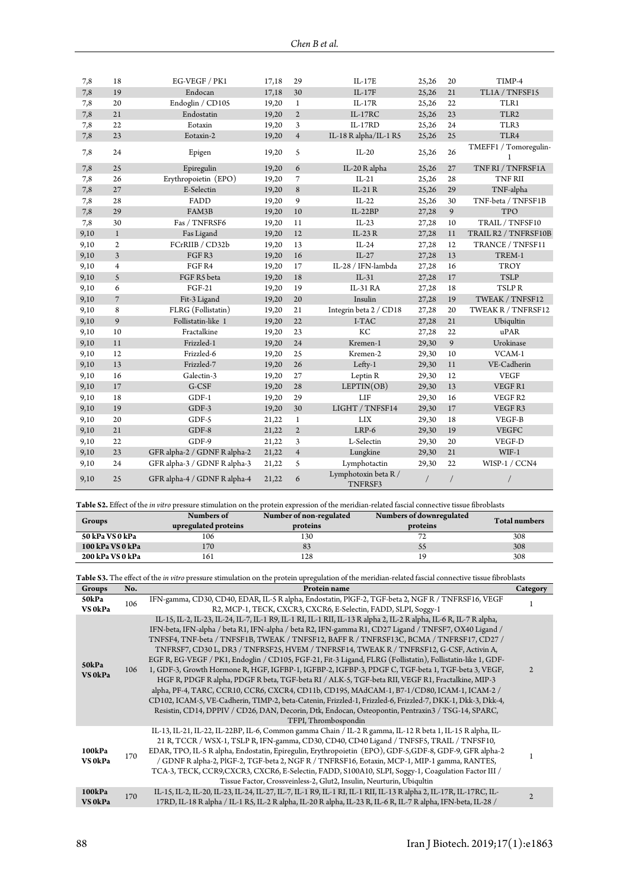| 7,8  | 18               | EG-VEGF / PK1                | 17,18 | 29             | $IL-17E$                        | 25,26 | 20 | TIMP-4                     |
|------|------------------|------------------------------|-------|----------------|---------------------------------|-------|----|----------------------------|
| 7,8  | 19               | Endocan                      | 17,18 | 30             | $IL-17F$                        | 25,26 | 21 | TL1A / TNFSF15             |
| 7,8  | 20               | Endoglin / CD105             | 19,20 | $\mathbf{1}$   | $IL-17R$                        | 25,26 | 22 | TLR1                       |
| 7,8  | 21               | Endostatin                   | 19,20 | $\overline{2}$ | $IL-17RC$                       | 25,26 | 23 | TLR <sub>2</sub>           |
| 7,8  | 22               | Eotaxin                      | 19,20 | $\mathfrak{Z}$ | IL-17RD                         | 25,26 | 24 | TLR3                       |
| 7,8  | 23               | Eotaxin-2                    | 19,20 | $\overline{4}$ | IL-18 R alpha/IL-1 R5           | 25,26 | 25 | TLR4                       |
| 7,8  | 24               | Epigen                       | 19,20 | 5              | $IL-20$                         | 25,26 | 26 | TMEFF1 / Tomoregulin-<br>1 |
| 7,8  | 25               | Epiregulin                   | 19,20 | 6              | IL-20 R alpha                   | 25,26 | 27 | TNF RI / TNFRSF1A          |
| 7,8  | 26               | Erythropoietin (EPO)         | 19,20 | 7              | $IL-21$                         | 25,26 | 28 | <b>TNF RII</b>             |
| 7,8  | 27               | E-Selectin                   | 19,20 | 8              | IL-21 R                         | 25,26 | 29 | TNF-alpha                  |
| 7,8  | 28               | FADD                         | 19,20 | 9              | $IL-22$                         | 25,26 | 30 | TNF-beta / TNFSF1B         |
| 7,8  | 29               | FAM3B                        | 19,20 | 10             | $IL-22BP$                       | 27,28 | 9  | <b>TPO</b>                 |
| 7,8  | 30               | Fas / TNFRSF6                | 19,20 | 11             | $IL-23$                         | 27,28 | 10 | TRAIL / TNFSF10            |
| 9,10 | $\mathbf{1}$     | Fas Ligand                   | 19,20 | 12             | IL-23 R                         | 27,28 | 11 | TRAIL R2 / TNFRSF10B       |
| 9,10 | $\boldsymbol{2}$ | FCrRIIB / CD32b              | 19,20 | 13             | $IL-24$                         | 27,28 | 12 | TRANCE / TNFSF11           |
| 9,10 | 3                | FGFR3                        | 19,20 | 16             | $IL-27$                         | 27,28 | 13 | TREM-1                     |
| 9,10 | $\overline{4}$   | FGF <sub>R4</sub>            | 19,20 | 17             | IL-28 / IFN-lambda              | 27,28 | 16 | <b>TROY</b>                |
| 9,10 | 5                | FGF R5 beta                  | 19,20 | 18             | $IL-31$                         | 27,28 | 17 | <b>TSLP</b>                |
| 9,10 | 6                | <b>FGF-21</b>                | 19,20 | 19             | IL-31 RA                        | 27,28 | 18 | TSLPR                      |
| 9,10 | $\overline{7}$   | Fit-3 Ligand                 | 19,20 | 20             | Insulin                         | 27,28 | 19 | TWEAK / TNFSF12            |
| 9,10 | 8                | FLRG (Follistatin)           | 19,20 | 21             | Integrin beta 2 / CD18          | 27,28 | 20 | TWEAK R / TNFRSF12         |
| 9,10 | 9                | Follistatin-like 1           | 19,20 | 22             | I-TAC                           | 27,28 | 21 | Ubiqultin                  |
| 9,10 | 10               | Fractalkine                  | 19,20 | 23             | KC                              | 27,28 | 22 | uPAR                       |
| 9,10 | 11               | Frizzled-1                   | 19,20 | 24             | Kremen-1                        | 29,30 | 9  | Urokinase                  |
| 9,10 | 12               | Frizzled-6                   | 19,20 | 25             | Kremen-2                        | 29,30 | 10 | VCAM-1                     |
| 9,10 | 13               | Frizzled-7                   | 19,20 | 26             | Lefty-1                         | 29,30 | 11 | VE-Cadherin                |
| 9,10 | 16               | Galectin-3                   | 19,20 | 27             | Leptin R                        | 29,30 | 12 | <b>VEGF</b>                |
| 9,10 | 17               | G-CSF                        | 19,20 | 28             | LEPTIN(OB)                      | 29,30 | 13 | VEGFR1                     |
| 9,10 | 18               | $GDF-1$                      | 19,20 | 29             | LIF                             | 29,30 | 16 | VEGF R2                    |
| 9,10 | 19               | $GDF-3$                      | 19,20 | 30             | LIGHT / TNFSF14                 | 29,30 | 17 | VEGFR3                     |
| 9,10 | 20               | GDF-5                        | 21,22 | $1\,$          | LIX                             | 29,30 | 18 | VEGF-B                     |
| 9,10 | 21               | $GDF-8$                      | 21,22 | $\overline{2}$ | LRP-6                           | 29,30 | 19 | <b>VEGFC</b>               |
| 9,10 | 22               | GDF-9                        | 21,22 | 3              | L-Selectin                      | 29,30 | 20 | VEGF-D                     |
| 9,10 | 23               | GFR alpha-2 / GDNF R alpha-2 | 21,22 | $\overline{4}$ | Lungkine                        | 29,30 | 21 | $WIF-1$                    |
| 9,10 | 24               | GFR alpha-3 / GDNF R alpha-3 | 21,22 | 5              | Lymphotactin                    | 29,30 | 22 | WISP-1 / CCN4              |
| 9,10 | 25               | GFR alpha-4 / GDNF R alpha-4 | 21,22 | 6              | Lymphotoxin beta R /<br>TNFRSF3 |       |    |                            |

<span id="page-8-0"></span>**Table S2.** Effect of the *in vitro* pressure stimulation on the protein expression of the meridian-related fascial connective tissue fibroblasts

| Groups           | Numbers of<br>upregulated proteins | Number of non-regulated<br>proteins | Numbers of downregulated<br>proteins | <b>Total numbers</b> |
|------------------|------------------------------------|-------------------------------------|--------------------------------------|----------------------|
| 50 kPa VS 0 kPa  | 106                                | 130                                 | $\mathbf{H}$                         | 308                  |
| 100 kPa VS 0 kPa | 170                                | 83                                  | 33                                   | 308                  |
| 200 kPa VS 0 kPa | 161                                | 128                                 |                                      | 308                  |

<span id="page-8-1"></span>

| Table S3. The effect of the in vitro pressure stimulation on the protein upregulation of the meridian-related fascial connective tissue fibroblasts |     |                                                                                                                                                                                                                                                                                                                                                                                                                                                                                                                                                                                                                                                                                                                                                                                                                                                                                                                                                                                                                                                                                    |                |  |  |  |  |  |
|-----------------------------------------------------------------------------------------------------------------------------------------------------|-----|------------------------------------------------------------------------------------------------------------------------------------------------------------------------------------------------------------------------------------------------------------------------------------------------------------------------------------------------------------------------------------------------------------------------------------------------------------------------------------------------------------------------------------------------------------------------------------------------------------------------------------------------------------------------------------------------------------------------------------------------------------------------------------------------------------------------------------------------------------------------------------------------------------------------------------------------------------------------------------------------------------------------------------------------------------------------------------|----------------|--|--|--|--|--|
| Groups                                                                                                                                              | No. | Protein name                                                                                                                                                                                                                                                                                                                                                                                                                                                                                                                                                                                                                                                                                                                                                                                                                                                                                                                                                                                                                                                                       | Category       |  |  |  |  |  |
| 50kPa<br>VS 0kPa                                                                                                                                    | 106 | IFN-gamma, CD30, CD40, EDAR, IL-5 R alpha, Endostatin, PlGF-2, TGF-beta 2, NGF R / TNFRSF16, VEGF<br>R2, MCP-1, TECK, CXCR3, CXCR6, E-Selectin, FADD, SLPI, Soggy-1                                                                                                                                                                                                                                                                                                                                                                                                                                                                                                                                                                                                                                                                                                                                                                                                                                                                                                                |                |  |  |  |  |  |
| 50kPa<br>VS 0kPa                                                                                                                                    | 106 | IL-15, IL-2, IL-23, IL-24, IL-7, IL-1 R9, IL-1 RI, IL-1 RII, IL-13 R alpha 2, IL-2 R alpha, IL-6 R, IL-7 R alpha,<br>IFN-beta, IFN-alpha / beta R1, IFN-alpha / beta R2, IFN-gamma R1, CD27 Ligand / TNFSF7, OX40 Ligand /<br>TNFSF4, TNF-beta / TNFSF1B, TWEAK / TNFSF12, BAFF R / TNFRSF13C, BCMA / TNFRSF17, CD27 /<br>TNFRSF7, CD30 L, DR3 / TNFRSF25, HVEM / TNFRSF14, TWEAK R / TNFRSF12, G-CSF, Activin A,<br>EGF R, EG-VEGF / PK1, Endoglin / CD105, FGF-21, Fit-3 Ligand, FLRG (Follistatin), Follistatin-like 1, GDF-<br>1, GDF-3, Growth Hormone R, HGF, IGFBP-1, IGFBP-2, IGFBP-3, PDGF C, TGF-beta 1, TGF-beta 3, VEGF,<br>HGF R, PDGF R alpha, PDGF R beta, TGF-beta RI / ALK-5, TGF-beta RII, VEGF R1, Fractalkine, MIP-3<br>alpha, PF-4, TARC, CCR10, CCR6, CXCR4, CD11b, CD195, MAdCAM-1, B7-1/CD80, ICAM-1, ICAM-2 /<br>CD102, ICAM-5, VE-Cadherin, TIMP-2, beta-Catenin, Frizzled-1, Frizzled-6, Frizzled-7, DKK-1, Dkk-3, Dkk-4,<br>Resistin, CD14, DPPIV / CD26, DAN, Decorin, Dtk, Endocan, Osteopontin, Pentraxin3 / TSG-14, SPARC,<br>TFPI, Thrombospondin | $\mathfrak{D}$ |  |  |  |  |  |
| 100kPa<br>VS 0kPa                                                                                                                                   | 170 | IL-13, IL-21, IL-22, IL-22BP, IL-6, Common gamma Chain / IL-2 R gamma, IL-12 R beta 1, IL-15 R alpha, IL-<br>21 R, TCCR / WSX-1, TSLP R, IFN-gamma, CD30, CD40, CD40 Ligand / TNFSF5, TRAIL / TNFSF10,<br>EDAR, TPO, IL-5 R alpha, Endostatin, Epiregulin, Erythropoietin (EPO), GDF-5, GDF-8, GDF-9, GFR alpha-2<br>/ GDNF R alpha-2, PlGF-2, TGF-beta 2, NGF R / TNFRSF16, Eotaxin, MCP-1, MIP-1 gamma, RANTES,<br>TCA-3, TECK, CCR9, CXCR3, CXCR6, E-Selectin, FADD, S100A10, SLPI, Soggy-1, Coagulation Factor III /<br>Tissue Factor, Crossveinless-2, Glut2, Insulin, Neurturin, Ubiqultin                                                                                                                                                                                                                                                                                                                                                                                                                                                                                   |                |  |  |  |  |  |
| 100kPa<br>VS 0kPa                                                                                                                                   | 170 | IL-15, IL-2, IL-20, IL-23, IL-24, IL-27, IL-7, IL-1 R9, IL-1 RI, IL-1 RII, IL-13 R alpha 2, IL-17R, IL-17RC, IL-<br>17RD, IL-18 R alpha / IL-1 R5, IL-2 R alpha, IL-20 R alpha, IL-23 R, IL-6 R, IL-7 R alpha, IFN-beta, IL-28 /                                                                                                                                                                                                                                                                                                                                                                                                                                                                                                                                                                                                                                                                                                                                                                                                                                                   | $\overline{2}$ |  |  |  |  |  |